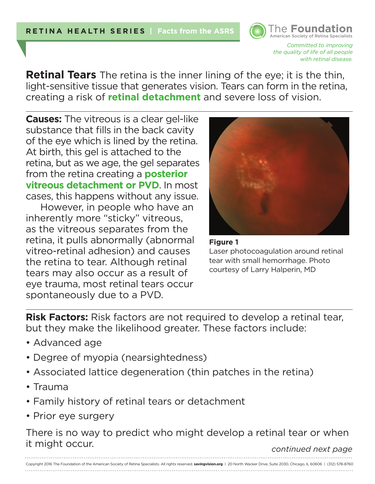

*Committed to improving the quality of life of all people with retinal disease.* 

**Retinal Tears** The retina is the inner lining of the eye; it is the thin, light-sensitive tissue that generates vision. Tears can form in the retina, creating a risk of **retinal detachment** and severe loss of vision.

**Causes:** The vitreous is a clear gel-like substance that fills in the back cavity of the eye which is lined by the retina. At birth, this gel is attached to the retina, but as we age, the gel separates from the retina creating a **posterior vitreous detachment or PVD**. In most cases, this happens without any issue.

However, in people who have an inherently more "sticky" vitreous, as the vitreous separates from the retina, it pulls abnormally (abnormal vitreo-retinal adhesion) and causes the retina to tear. Although retinal tears may also occur as a result of eye trauma, most retinal tears occur spontaneously due to a PVD.





**Risk Factors:** Risk factors are not required to develop a retinal tear, but they make the likelihood greater. These factors include:

- Advanced age
- Degree of myopia (nearsightedness)
- Associated lattice degeneration (thin patches in the retina)
- Trauma
- Family history of retinal tears or detachment
- Prior eye surgery

There is no way to predict who might develop a retinal tear or when it might occur. *continued next page*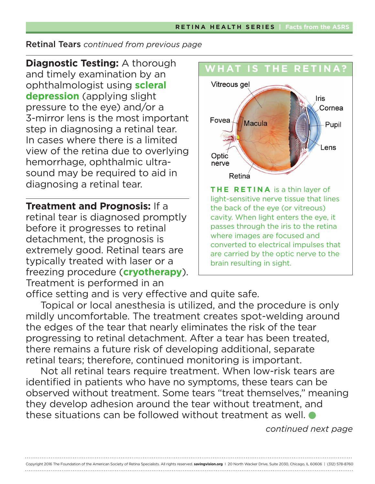#### Retinal Tears *continued from previous page*

**Diagnostic Testing:** A thorough and timely examination by an ophthalmologist using **scleral depression** (applying slight pressure to the eye) and/or a 3-mirror lens is the most important step in diagnosing a retinal tear. In cases where there is a limited view of the retina due to overlying hemorrhage, ophthalmic ultrasound may be required to aid in diagnosing a retinal tear.

**Treatment and Prognosis:** If a retinal tear is diagnosed promptly before it progresses to retinal detachment, the prognosis is extremely good. Retinal tears are typically treated with laser or a freezing procedure (**cryotherapy**). Treatment is performed in an



office setting and is very effective and quite safe.

Topical or local anesthesia is utilized, and the procedure is only mildly uncomfortable. The treatment creates spot-welding around the edges of the tear that nearly eliminates the risk of the tear progressing to retinal detachment. After a tear has been treated, there remains a future risk of developing additional, separate retinal tears; therefore, continued monitoring is important.

Not all retinal tears require treatment. When low-risk tears are identified in patients who have no symptoms, these tears can be observed without treatment. Some tears "treat themselves," meaning they develop adhesion around the tear without treatment, and these situations can be followed without treatment as well.

*continued next page*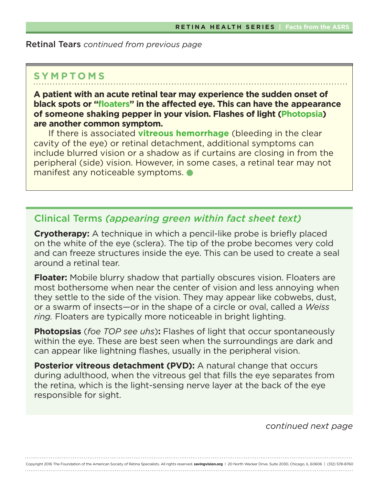#### Retinal Tears *continued from previous page*

# **SYMPTOMS**

**A patient with an acute retinal tear may experience the sudden onset of black spots or "floaters" in the affected eye. This can have the appearance of someone shaking pepper in your vision. Flashes of light (Photopsia) are another common symptom.** 

If there is associated **vitreous hemorrhage** (bleeding in the clear cavity of the eye) or retinal detachment, additional symptoms can include blurred vision or a shadow as if curtains are closing in from the peripheral (side) vision. However, in some cases, a retinal tear may not manifest any noticeable symptoms.

## Clinical Terms *(appearing green within fact sheet text)*

**Cryotherapy:** A technique in which a pencil-like probe is briefly placed on the white of the eye (sclera). The tip of the probe becomes very cold and can freeze structures inside the eye. This can be used to create a seal around a retinal tear.

**Floater:** Mobile blurry shadow that partially obscures vision. Floaters are most bothersome when near the center of vision and less annoying when they settle to the side of the vision. They may appear like cobwebs, dust, or a swarm of insects—or in the shape of a circle or oval, called a *Weiss ring.* Floaters are typically more noticeable in bright lighting.

**Photopsias** (*foe TOP see uhs*)**:** Flashes of light that occur spontaneously within the eye. These are best seen when the surroundings are dark and can appear like lightning flashes, usually in the peripheral vision.

**Posterior vitreous detachment (PVD):** A natural change that occurs during adulthood, when the vitreous gel that fills the eye separates from the retina, which is the light-sensing nerve layer at the back of the eye responsible for sight.

*continued next page*